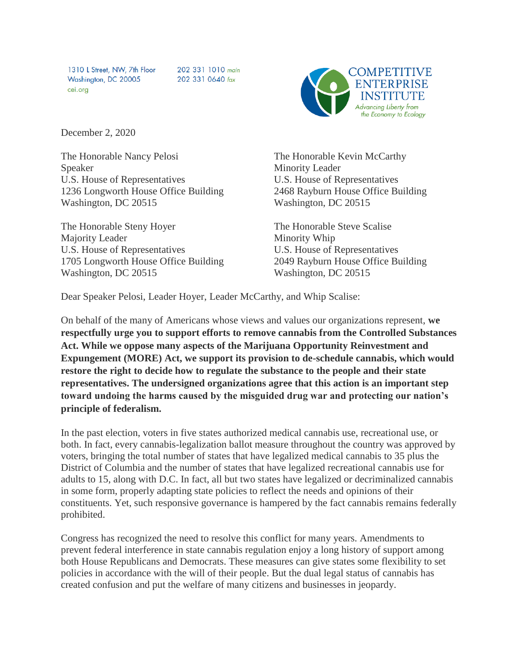1310 L Street, NW, 7th Floor Washington, DC 20005 cei.org

202 331 1010 main 202 331 0640 fax



December 2, 2020

The Honorable Nancy Pelosi Speaker U.S. House of Representatives 1236 Longworth House Office Building Washington, DC 20515

The Honorable Steny Hoyer Majority Leader U.S. House of Representatives 1705 Longworth House Office Building Washington, DC 20515

The Honorable Kevin McCarthy Minority Leader U.S. House of Representatives 2468 Rayburn House Office Building Washington, DC 20515

The Honorable Steve Scalise Minority Whip U.S. House of Representatives 2049 Rayburn House Office Building Washington, DC 20515

Dear Speaker Pelosi, Leader Hoyer, Leader McCarthy, and Whip Scalise:

On behalf of the many of Americans whose views and values our organizations represent, **we respectfully urge you to support efforts to remove cannabis from the Controlled Substances Act. While we oppose many aspects of the Marijuana Opportunity Reinvestment and Expungement (MORE) Act, we support its provision to de-schedule cannabis, which would restore the right to decide how to regulate the substance to the people and their state representatives. The undersigned organizations agree that this action is an important step toward undoing the harms caused by the misguided drug war and protecting our nation's principle of federalism.** 

In the past election, voters in five states authorized medical cannabis use, recreational use, or both. In fact, every cannabis-legalization ballot measure throughout the country was approved by voters, bringing the total number of states that have legalized medical cannabis to 35 plus the District of Columbia and the number of states that have legalized recreational cannabis use for adults to 15, along with D.C. In fact, all but two states have legalized or decriminalized cannabis in some form, properly adapting state policies to reflect the needs and opinions of their constituents. Yet, such responsive governance is hampered by the fact cannabis remains federally prohibited.

Congress has recognized the need to resolve this conflict for many years. Amendments to prevent federal interference in state cannabis regulation enjoy a long history of support among both House Republicans and Democrats. These measures can give states some flexibility to set policies in accordance with the will of their people. But the dual legal status of cannabis has created confusion and put the welfare of many citizens and businesses in jeopardy.